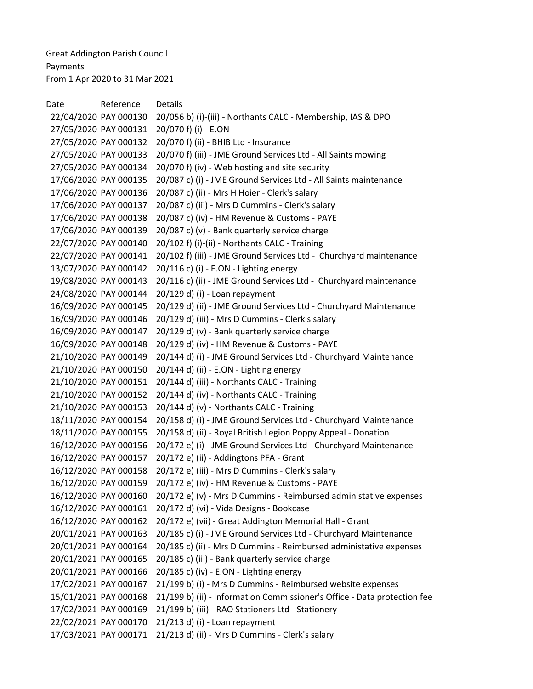Great Addington Parish Council Payments From 1 Apr 2020 to 31 Mar 2021

Date Reference Details 22/04/2020 PAY 000130 20/056 b) (i)-(iii) - Northants CALC - Membership, IAS & DPO 27/05/2020 PAY 000131 20/070 f) (i) - E.ON 27/05/2020 PAY 000132 20/070 f) (ii) - BHIB Ltd - Insurance 27/05/2020 PAY 000133 20/070 f) (iii) - JME Ground Services Ltd - All Saints mowing 27/05/2020 PAY 000134 20/070 f) (iv) - Web hosting and site security 17/06/2020 PAY 000135 20/087 c) (i) - JME Ground Services Ltd - All Saints maintenance 17/06/2020 PAY 000136 20/087 c) (ii) - Mrs H Hoier - Clerk's salary 17/06/2020 PAY 000137 20/087 c) (iii) - Mrs D Cummins - Clerk's salary 17/06/2020 PAY 000138 20/087 c) (iv) - HM Revenue & Customs - PAYE 17/06/2020 PAY 000139 20/087 c) (v) - Bank quarterly service charge 22/07/2020 PAY 000140 20/102 f) (i)-(ii) - Northants CALC - Training 22/07/2020 PAY 000141 20/102 f) (iii) - JME Ground Services Ltd - Churchyard maintenance 13/07/2020 PAY 000142 20/116 c) (i) - E.ON - Lighting energy 19/08/2020 PAY 000143 20/116 c) (ii) - JME Ground Services Ltd - Churchyard maintenance 24/08/2020 PAY 000144 20/129 d) (i) - Loan repayment 16/09/2020 PAY 000145 20/129 d) (ii) - JME Ground Services Ltd - Churchyard Maintenance 16/09/2020 PAY 000146 20/129 d) (iii) - Mrs D Cummins - Clerk's salary 16/09/2020 PAY 000147 20/129 d) (v) - Bank quarterly service charge 16/09/2020 PAY 000148 20/129 d) (iv) - HM Revenue & Customs - PAYE 21/10/2020 PAY 000149 20/144 d) (i) - JME Ground Services Ltd - Churchyard Maintenance 21/10/2020 PAY 000150 20/144 d) (ii) - E.ON - Lighting energy 21/10/2020 PAY 000151 20/144 d) (iii) - Northants CALC - Training 21/10/2020 PAY 000152 20/144 d) (iv) - Northants CALC - Training 21/10/2020 PAY 000153 20/144 d) (v) - Northants CALC - Training 18/11/2020 PAY 000154 20/158 d) (i) - JME Ground Services Ltd - Churchyard Maintenance 18/11/2020 PAY 000155 20/158 d) (ii) - Royal British Legion Poppy Appeal - Donation 16/12/2020 PAY 000156 20/172 e) (i) - JME Ground Services Ltd - Churchyard Maintenance 16/12/2020 PAY 000157 20/172 e) (ii) - Addingtons PFA - Grant 16/12/2020 PAY 000158 20/172 e) (iii) - Mrs D Cummins - Clerk's salary 16/12/2020 PAY 000159 20/172 e) (iv) - HM Revenue & Customs - PAYE 16/12/2020 PAY 000160 20/172 e) (v) - Mrs D Cummins - Reimbursed administative expenses 16/12/2020 PAY 000161 20/172 d) (vi) - Vida Designs - Bookcase 16/12/2020 PAY 000162 20/172 e) (vii) - Great Addington Memorial Hall - Grant 20/01/2021 PAY 000163 20/185 c) (i) - JME Ground Services Ltd - Churchyard Maintenance 20/01/2021 PAY 000164 20/185 c) (ii) - Mrs D Cummins - Reimbursed administative expenses 20/01/2021 PAY 000165 20/185 c) (iii) - Bank quarterly service charge 20/01/2021 PAY 000166 20/185 c) (iv) - E.ON - Lighting energy 17/02/2021 PAY 000167 21/199 b) (i) - Mrs D Cummins - Reimbursed website expenses 15/01/2021 PAY 000168 21/199 b) (ii) - Information Commissioner's Office - Data protection fee 17/02/2021 PAY 000169 21/199 b) (iii) - RAO Stationers Ltd - Stationery 22/02/2021 PAY 000170 21/213 d) (i) - Loan repayment 17/03/2021 PAY 000171 21/213 d) (ii) - Mrs D Cummins - Clerk's salary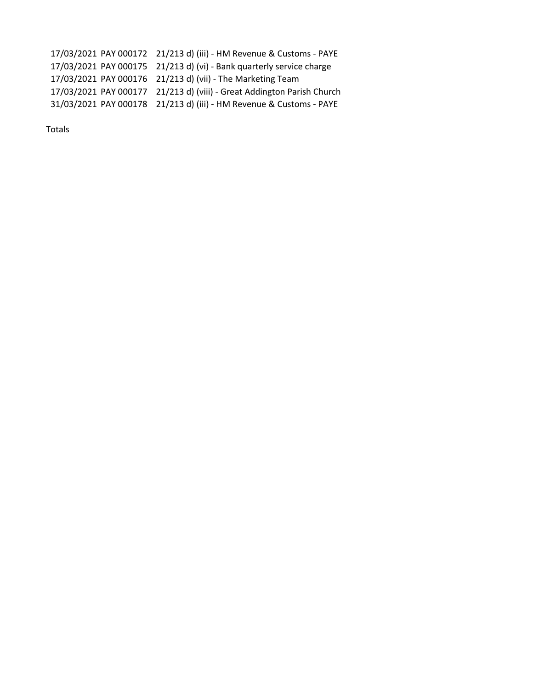17/03/2021 PAY 000172 21/213 d) (iii) - HM Revenue & Customs - PAYE 17/03/2021 PAY 000175 21/213 d) (vi) - Bank quarterly service charge 17/03/2021 PAY 000176 21/213 d) (vii) - The Marketing Team 17/03/2021 PAY 000177 21/213 d) (viii) - Great Addington Parish Church 31/03/2021 PAY 000178 21/213 d) (iii) - HM Revenue & Customs - PAYE

Totals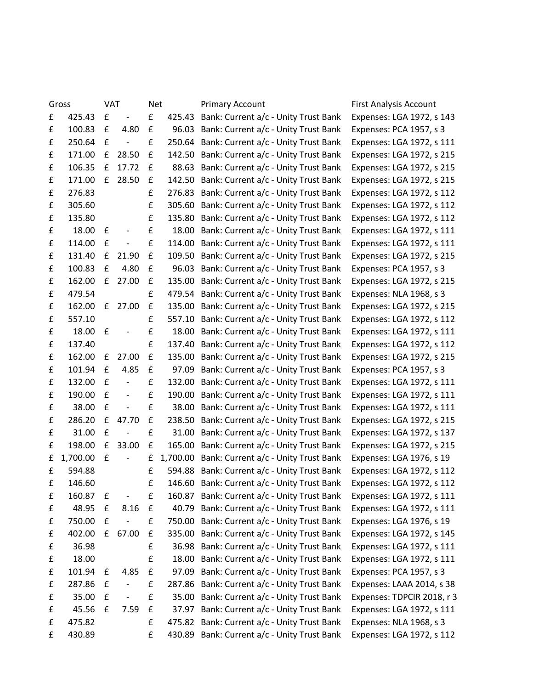| Gross |          | <b>VAT</b> |                          | <b>Net</b>         |          | <b>Primary Account</b>                      | First Analysis Account     |
|-------|----------|------------|--------------------------|--------------------|----------|---------------------------------------------|----------------------------|
| £     | 425.43   | £          | $\overline{\phantom{a}}$ | £                  | 425.43   | Bank: Current a/c - Unity Trust Bank        | Expenses: LGA 1972, s 143  |
| £     | 100.83   | £          | 4.80                     | £                  | 96.03    | Bank: Current a/c - Unity Trust Bank        | Expenses: PCA 1957, s 3    |
| £     | 250.64   | £          | $\overline{\phantom{a}}$ | £                  | 250.64   | Bank: Current a/c - Unity Trust Bank        | Expenses: LGA 1972, s 111  |
| £     | 171.00   | £          | 28.50                    | £                  | 142.50   | Bank: Current a/c - Unity Trust Bank        | Expenses: LGA 1972, s 215  |
| £     | 106.35   | £          | 17.72                    | £                  | 88.63    | Bank: Current a/c - Unity Trust Bank        | Expenses: LGA 1972, s 215  |
| £     | 171.00   | £          | 28.50                    | £                  | 142.50   | Bank: Current a/c - Unity Trust Bank        | Expenses: LGA 1972, s 215  |
| £     | 276.83   |            |                          | £                  | 276.83   | Bank: Current a/c - Unity Trust Bank        | Expenses: LGA 1972, s 112  |
| £     | 305.60   |            |                          | £                  | 305.60   | Bank: Current a/c - Unity Trust Bank        | Expenses: LGA 1972, s 112  |
| £     | 135.80   |            |                          | £                  | 135.80   | Bank: Current a/c - Unity Trust Bank        | Expenses: LGA 1972, s 112  |
| £     | 18.00    | £          | $\overline{\phantom{a}}$ | £                  | 18.00    | Bank: Current a/c - Unity Trust Bank        | Expenses: LGA 1972, s 111  |
| £     | 114.00   | £          | $\overline{\phantom{a}}$ | £                  | 114.00   | Bank: Current a/c - Unity Trust Bank        | Expenses: LGA 1972, s 111  |
| £     | 131.40   | £          | 21.90                    | £                  | 109.50   | Bank: Current a/c - Unity Trust Bank        | Expenses: LGA 1972, s 215  |
| £     | 100.83   | £          | 4.80                     | £                  | 96.03    | Bank: Current a/c - Unity Trust Bank        | Expenses: PCA 1957, s 3    |
| £     | 162.00   | £          | 27.00                    | £                  | 135.00   | Bank: Current a/c - Unity Trust Bank        | Expenses: LGA 1972, s 215  |
| £     | 479.54   |            |                          | £                  | 479.54   | Bank: Current a/c - Unity Trust Bank        | Expenses: NLA 1968, s 3    |
| £     | 162.00   | f          | 27.00                    | £                  | 135.00   | Bank: Current a/c - Unity Trust Bank        | Expenses: LGA 1972, s 215  |
| £     | 557.10   |            |                          | £                  | 557.10   | Bank: Current a/c - Unity Trust Bank        | Expenses: LGA 1972, s 112  |
| £     | 18.00    | £          | $\overline{\phantom{a}}$ | £                  | 18.00    | Bank: Current a/c - Unity Trust Bank        | Expenses: LGA 1972, s 111  |
| £     | 137.40   |            |                          | £                  | 137.40   | Bank: Current a/c - Unity Trust Bank        | Expenses: LGA 1972, s 112  |
| £     | 162.00   | £          | 27.00                    | £                  | 135.00   | Bank: Current a/c - Unity Trust Bank        | Expenses: LGA 1972, s 215  |
| £     | 101.94   | £          | 4.85                     | £                  | 97.09    | Bank: Current a/c - Unity Trust Bank        | Expenses: PCA 1957, s 3    |
| £     | 132.00   | £          |                          | £                  | 132.00   | Bank: Current a/c - Unity Trust Bank        | Expenses: LGA 1972, s 111  |
| £     | 190.00   | £          | $\blacksquare$           | £                  | 190.00   | Bank: Current a/c - Unity Trust Bank        | Expenses: LGA 1972, s 111  |
| £     | 38.00    | £          | $\overline{\phantom{a}}$ | £                  | 38.00    | Bank: Current a/c - Unity Trust Bank        | Expenses: LGA 1972, s 111  |
| £     | 286.20   | £          | 47.70                    | £                  | 238.50   | Bank: Current a/c - Unity Trust Bank        | Expenses: LGA 1972, s 215  |
| £     | 31.00    | £          | $\overline{\phantom{a}}$ | £                  | 31.00    | Bank: Current a/c - Unity Trust Bank        | Expenses: LGA 1972, s 137  |
| £     | 198.00   | £          | 33.00                    | £                  | 165.00   | Bank: Current a/c - Unity Trust Bank        | Expenses: LGA 1972, s 215  |
| £     | 1,700.00 | £          | $\overline{\phantom{a}}$ | £                  | 1,700.00 | Bank: Current a/c - Unity Trust Bank        | Expenses: LGA 1976, s 19   |
| £     | 594.88   |            |                          | £                  | 594.88   | Bank: Current a/c - Unity Trust Bank        | Expenses: LGA 1972, s 112  |
| £     | 146.60   |            |                          | £                  |          | 146.60 Bank: Current a/c - Unity Trust Bank | Expenses: LGA 1972, s 112  |
| £     | 160.87   | £          | $\overline{\phantom{a}}$ | £                  |          | 160.87 Bank: Current a/c - Unity Trust Bank | Expenses: LGA 1972, s 111  |
| £     | 48.95    | £          | 8.16                     | £                  | 40.79    | Bank: Current a/c - Unity Trust Bank        | Expenses: LGA 1972, s 111  |
| £     | 750.00   | £          | $\overline{\phantom{a}}$ | £                  |          | 750.00 Bank: Current a/c - Unity Trust Bank | Expenses: LGA 1976, s 19   |
| £     | 402.00   | £          | 67.00                    | £                  | 335.00   | Bank: Current a/c - Unity Trust Bank        | Expenses: LGA 1972, s 145  |
| £     | 36.98    |            |                          | £                  | 36.98    | Bank: Current a/c - Unity Trust Bank        | Expenses: LGA 1972, s 111  |
| £     | 18.00    |            |                          | £                  | 18.00    | Bank: Current a/c - Unity Trust Bank        | Expenses: LGA 1972, s 111  |
| £     | 101.94   | £          | 4.85                     | £                  | 97.09    | Bank: Current a/c - Unity Trust Bank        | Expenses: PCA 1957, s 3    |
| £     | 287.86   | £          |                          | £                  |          | 287.86 Bank: Current a/c - Unity Trust Bank | Expenses: LAAA 2014, s 38  |
| £     | 35.00    | £          | $\overline{\phantom{a}}$ | £                  | 35.00    | Bank: Current a/c - Unity Trust Bank        | Expenses: TDPCIR 2018, r 3 |
| £     | 45.56    | £          | 7.59                     | £                  |          | 37.97 Bank: Current a/c - Unity Trust Bank  | Expenses: LGA 1972, s 111  |
| £     | 475.82   |            |                          | $\pmb{\mathsf{f}}$ |          | 475.82 Bank: Current a/c - Unity Trust Bank | Expenses: NLA 1968, s 3    |
| £     | 430.89   |            |                          | £                  |          | 430.89 Bank: Current a/c - Unity Trust Bank | Expenses: LGA 1972, s 112  |